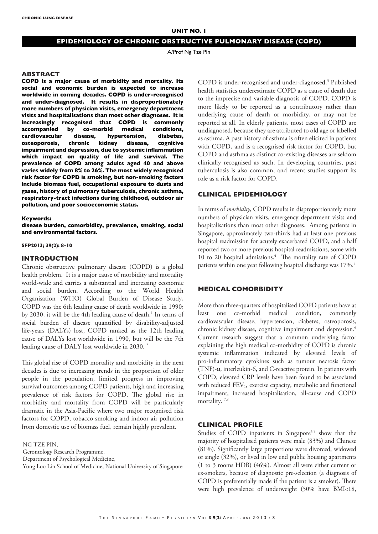# **EPIDEMIOLOGY OF CHRONIC OBSTRUCTIVE PULMONARY DISEASE (COPD)**

A/Prof Ng Tze Pin

#### **ABSTRACT**

**COPD is a major cause of morbidity and mortality. Its social and economic burden is expected to increase worldwide in coming decades. COPD is under-recognised and under-diagnosed. It results in disproportionately more numbers of physician visits, emergency department visits and hospitalisations than most other diagnoses. It is increasingly recognised that COPD is commonly accompanied by co-morbid medical conditions,**  cardiovascular disease, hypertension, **osteoporosis, chronic kidney disease, cognitive impairment and depression, due to systemic inflammation which impact on quality of life and survival. The prevalence of COPD among adults aged 40 and above varies widely from 8% to 26%. The most widely recognised risk factor for COPD is smoking, but non-smoking factors include biomass fuel, occupational exposure to dusts and gases, history of pulmonary tuberculosis, chronic asthma, respiratory-tract infections during childhood, outdoor air pollution, and poor socioeconomic status.** 

#### **Keywords:**

**disease burden, comorbidity, prevalence, smoking, social and environmental factors.** 

**SFP2013; 39(2): 8-10**

#### **INTRODUCTION**

Chronic obstructive pulmonary disease (COPD) is a global health problem. It is a major cause of morbidity and mortality world-wide and carries a substantial and increasing economic and social burden. According to the World Health Organisation (WHO) Global Burden of Disease Study, COPD was the 6th leading cause of death worldwide in 1990; by 2030, it will be the 4th leading cause of death.<sup>1</sup> In terms of social burden of disease quantified by disability-adjusted life-years (DALYs) lost, COPD ranked as the 12th leading cause of DALYs lost worldwide in 1990, but will be the 7th leading cause of DALY lost worldwide in 2030. 2

This global rise of COPD mortality and morbidity in the next decades is due to increasing trends in the proportion of older people in the population, limited progress in improving survival outcomes among COPD patients, high and increasing prevalence of risk factors for COPD. The global rise in morbidity and mortality from COPD will be particularly dramatic in the Asia-Pacific where two major recognised risk factors for COPD, tobacco smoking and indoor air pollution from domestic use of biomass fuel, remain highly prevalent.

NG TZE PIN,

Gerontology Research Programme,

Department of Psychological Medicine,

Yong Loo Lin School of Medicine, National University of Singapore

COPD is under-recognised and under-diagnosed.3 Published health statistics underestimate COPD as a cause of death due to the imprecise and variable diagnosis of COPD. COPD is more likely to be reported as a contributory rather than underlying cause of death or morbidity, or may not be reported at all. In elderly patients, most cases of COPD are undiagnosed, because they are attributed to old age or labelled as asthma. A past history of asthma is often elicited in patients with COPD, and is a recognised risk factor for COPD, but COPD and asthma as distinct co-existing diseases are seldom clinically recognised as such. In developing countries, past tuberculosis is also common, and recent studies support its role as a risk factor for COPD.

# **CLINICAL EPIDEMIOLOGY**

In terms of *morbidity*, COPD results in disproportionately more numbers of physician visits, emergency department visits and hospitalisations than most other diagnoses. Among patients in Singapore, approximately two-thirds had at least one previous hospital readmission for acutely exacerbated COPD, and a half reported two or more previous hospital readmissions, some with 10 to 20 hospital admissions.<sup>4</sup> The mortality rate of COPD patients within one year following hospital discharge was 17%.<sup>5</sup>

# **MEDICAL COMORBIDITY**

More than three-quarters of hospitalised COPD patients have at least one co-morbid medical condition, commonly cardiovascular disease, hypertension, diabetes, osteoporosis, chronic kidney disease, cognitive impairment and depression.<sup>6</sup> Current research suggest that a common underlying factor explaining the high medical co-morbidity of COPD is chronic systemic inflammation indicated by elevated levels of pro-inflammatory cytokines such as tumour necrosis factor (TNF)-α, interleukin-6, and C-reactive protein. In patients with COPD, elevated CRP levels have been found to be associated with reduced FEV<sub>1</sub>, exercise capacity, metabolic and functional impairment, increased hospitalisation, all-cause and COPD mortality.<sup>7,8</sup>

# **CLINICAL PROFILE**

Studies of COPD inpatients in Singapore<sup>4,5</sup> show that the majority of hospitalised patients were male (83%) and Chinese (81%). Significantly large proportions were divorced, widowed or single (32%), or lived in low end public housing apartments (1 to 3 rooms HDB) (46%). Almost all were either current or ex-smokers, because of diagnostic pre-selection (a diagnosis of COPD is preferentially made if the patient is a smoker). There were high prevalence of underweight (50% have BMI<18,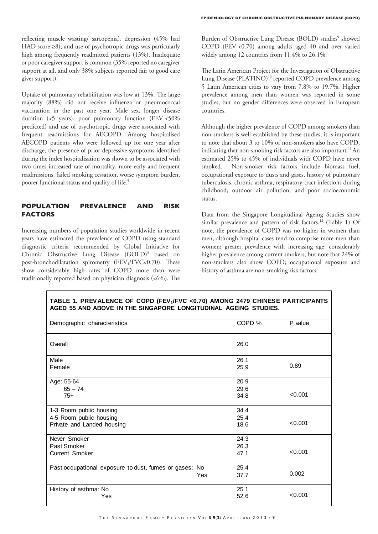reflecting muscle wasting/ sarcopenia), depression (45% had HAD score ≥8), and use of psychotropic drugs was particularly high among frequently readmitted patients (13%). Inadequate or poor caregiver support is common (35% reported no caregiver support at all, and only 38% subjects reported fair to good care giver support).

Uptake of pulmonary rehabilitation was low at 13%. The large majority (88%) did not receive influenza or pneumococcal vaccination in the past one year. Male sex, longer disease duration (>5 years), poor pulmonary function ( $FEV<sub>1</sub> < 50\%$ predicted) and use of psychotropic drugs were associated with frequent readmissions for AECOPD. Among hospitalised AECOPD patients who were followed up for one year after discharge, the presence of prior depressive symptoms identified during the index hospitalisation was shown to be associated with two times increased rate of mortality, more early and frequent readmissions, failed smoking cessation, worse symptom burden, poorer functional status and quality of life.<sup>5</sup>

# **POPULATION PREVALENCE AND RISK FACTORS**

Increasing numbers of population studies worldwide in recent years have estimated the prevalence of COPD using standard diagnostic criteria recommended by Global Initiative for Chronic Obstructive Lung Disease (GOLD)<sup>3</sup> based on post-bronchodilatation spirometry (FEV<sub>1</sub>/FVC<0.70). These show considerably high rates of COPD more than were traditionally reported based on physician diagnosis  $(<6\%)$ . The

Burden of Obstructive Lung Disease (BOLD) studies<sup>9</sup> showed COPD (FEV<sub>1</sub><0.70) among adults aged 40 and over varied widely among 12 countries from 11.4% to 26.1%.

The Latin American Project for the Investigation of Obstructive Lung Disease (PLATINO)<sup>10</sup> reported COPD prevalence among 5 Latin American cities to vary from 7.8% to 19.7%. Higher prevalence among men than women was reported in some studies, but no gender differences were observed in European countries.

Although the higher prevalence of COPD among smokers than non-smokers is well established by these studies, it is important to note that about 3 to 10% of non-smokers also have COPD, indicating that non-smoking risk factors are also important.<sup>11</sup> An estimated 25% to 45% of individuals with COPD have never smoked. Non-smoker risk factors include biomass fuel, occupational exposure to dusts and gases, history of pulmonary tuberculosis, chronic asthma, respiratory-tract infections during childhood, outdoor air pollution, and poor socioeconomic status.

Data from the Singapore Longitudinal Ageing Studies show similar prevalence and pattern of risk factors.<sup>12</sup> (Table 1) Of note, the prevalence of COPD was no higher in women than men, although hospital cases tend to comprise more men than women; greater prevalence with increasing age; considerably higher prevalence among current smokers, but note that 24% of non-smokers also show COPD; occupational exposure and history of asthma are non-smoking risk factors.

|  |  |  |  |  | TABLE 1. PREVALENCE OF COPD (FEV <sub>1</sub> /FVC <0.70) AMONG 2479 CHINESE PARTICIPANTS |  |  |
|--|--|--|--|--|-------------------------------------------------------------------------------------------|--|--|
|  |  |  |  |  | AGED 55 AND ABOVE IN THE SINGAPORE LONGITUDINAL AGEING STUDIES.                           |  |  |
|  |  |  |  |  |                                                                                           |  |  |

| Demographic characteristics                            |     | COPD % | P value |
|--------------------------------------------------------|-----|--------|---------|
| Overall                                                |     | 26.0   |         |
| Male                                                   |     | 26.1   |         |
| Female                                                 |     | 25.9   | 0.89    |
| Age: 55-64                                             |     | 20.9   |         |
| $65 - 74$                                              |     | 29.6   |         |
| $75+$                                                  |     | 34.8   | < 0.001 |
| 1-3 Room public housing                                |     | 34.4   |         |
| 4-5 Room public housing                                |     | 25.4   |         |
| Private and Landed housing                             |     | 18.6   | < 0.001 |
| Never Smoker                                           |     | 24.3   |         |
| Past Smoker                                            |     | 26.3   |         |
| <b>Current Smoker</b>                                  |     | 47.1   | < 0.001 |
| Past occupational exposure to dust, fumes or gases: No |     | 25.4   |         |
|                                                        | Yes | 37.7   | 0.002   |
| History of asthma: No                                  |     | 25.1   |         |
| Yes                                                    |     | 52.6   | < 0.001 |